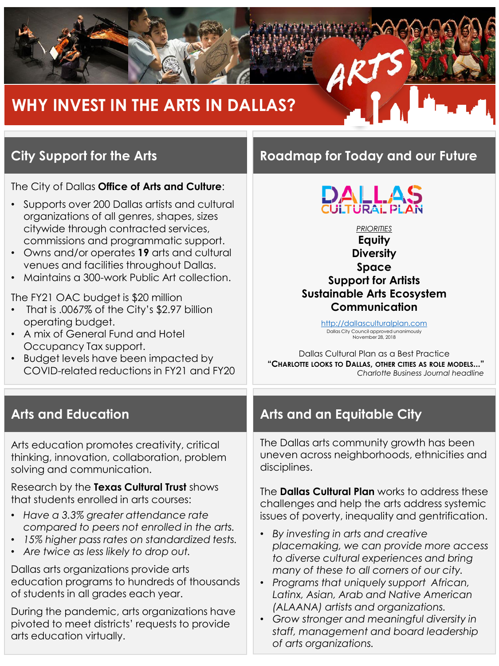

# **City Support for the Arts**

The City of Dallas **Office of Arts and Culture**:

- Supports over 200 Dallas artists and cultural organizations of all genres, shapes, sizes citywide through contracted services, commissions and programmatic support.
- Owns and/or operates **19** arts and cultural venues and facilities throughout Dallas.
- Maintains a 300-work Public Art collection.

The FY21 OAC budget is \$20 million

- That is .0067% of the City's \$2.97 billion operating budget.
- A mix of General Fund and Hotel Occupancy Tax support.
- Budget levels have been impacted by COVID-related reductions in FY21 and FY20

Arts education promotes creativity, critical thinking, innovation, collaboration, problem solving and communication.

Research by the **Texas Cultural Trust** shows that students enrolled in arts courses:

- *Have a 3.3% greater attendance rate compared to peers not enrolled in the arts.*
- *15% higher pass rates on standardized tests.*
- *Are twice as less likely to drop out.*

Dallas arts organizations provide arts education programs to hundreds of thousands of students in all grades each year.

During the pandemic, arts organizations have pivoted to meet districts' requests to provide arts education virtually.

### **Roadmap for Today and our Future**



*PRIORITIES* **Equity Diversity Space Support for Artists Sustainable Arts Ecosystem Communication**

> http://dallasculturalplan.com Dallas City Council approved unanimously November 28, 2018

Dallas Cultural Plan as a Best Practice **"CHARLOTTE LOOKS TO DALLAS, OTHER CITIES AS ROLE MODELS..."**  *Charlotte Business Journal headline*

### **Arts and Education Arts and an Equitable City**

The Dallas arts community growth has been uneven across neighborhoods, ethnicities and disciplines.

The **Dallas Cultural Plan** works to address these challenges and help the arts address systemic issues of poverty, inequality and gentrification.

- *By investing in arts and creative placemaking, we can provide more access to diverse cultural experiences and bring many of these to all corners of our city.*
- *Programs that uniquely support African, Latinx, Asian, Arab and Native American (ALAANA) artists and organizations.*
- *Grow stronger and meaningful diversity in staff, management and board leadership of arts organizations.*